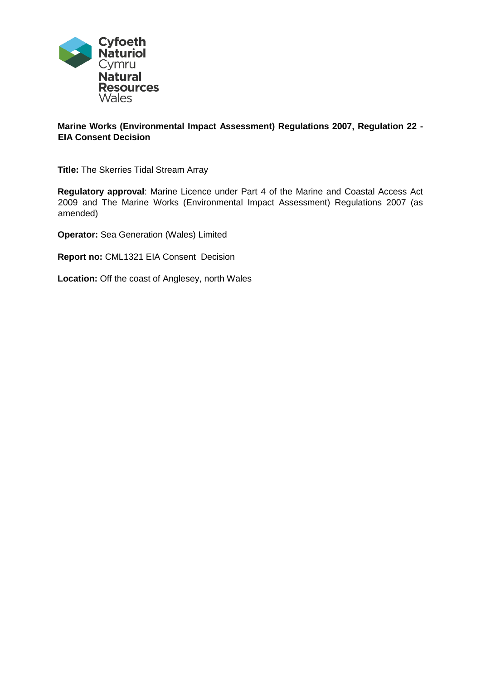

# **Marine Works (Environmental Impact Assessment) Regulations 2007, Regulation 22 - EIA Consent Decision**

**Title:** The Skerries Tidal Stream Array

**Regulatory approval**: Marine Licence under Part 4 of the Marine and Coastal Access Act 2009 and The Marine Works (Environmental Impact Assessment) Regulations 2007 (as amended)

**Operator:** Sea Generation (Wales) Limited

**Report no:** CML1321 EIA Consent Decision

**Location:** Off the coast of Anglesey, north Wales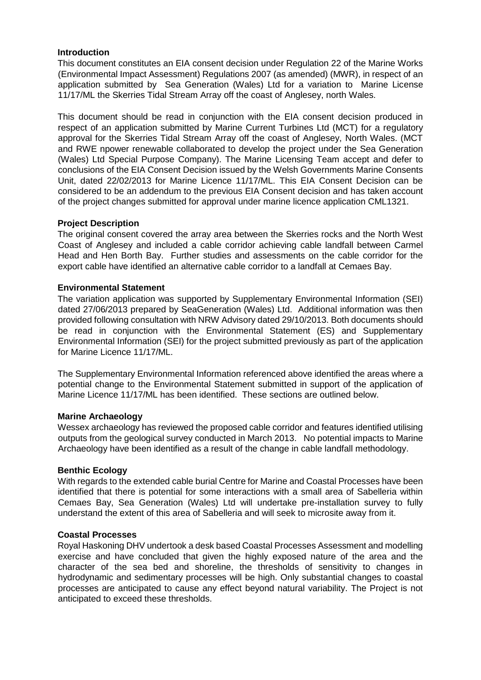#### **Introduction**

This document constitutes an EIA consent decision under Regulation 22 of the Marine Works (Environmental Impact Assessment) Regulations 2007 (as amended) (MWR), in respect of an application submitted by Sea Generation (Wales) Ltd for a variation to Marine License 11/17/ML the Skerries Tidal Stream Array off the coast of Anglesey, north Wales.

This document should be read in conjunction with the EIA consent decision produced in respect of an application submitted by Marine Current Turbines Ltd (MCT) for a regulatory approval for the Skerries Tidal Stream Array off the coast of Anglesey, North Wales. (MCT and RWE npower renewable collaborated to develop the project under the Sea Generation (Wales) Ltd Special Purpose Company). The Marine Licensing Team accept and defer to conclusions of the EIA Consent Decision issued by the Welsh Governments Marine Consents Unit, dated 22/02/2013 for Marine Licence 11/17/ML. This EIA Consent Decision can be considered to be an addendum to the previous EIA Consent decision and has taken account of the project changes submitted for approval under marine licence application CML1321.

## **Project Description**

The original consent covered the array area between the Skerries rocks and the North West Coast of Anglesey and included a cable corridor achieving cable landfall between Carmel Head and Hen Borth Bay. Further studies and assessments on the cable corridor for the export cable have identified an alternative cable corridor to a landfall at Cemaes Bay.

#### **Environmental Statement**

The variation application was supported by Supplementary Environmental Information (SEI) dated 27/06/2013 prepared by SeaGeneration (Wales) Ltd. Additional information was then provided following consultation with NRW Advisory dated 29/10/2013. Both documents should be read in conjunction with the Environmental Statement (ES) and Supplementary Environmental Information (SEI) for the project submitted previously as part of the application for Marine Licence 11/17/ML.

The Supplementary Environmental Information referenced above identified the areas where a potential change to the Environmental Statement submitted in support of the application of Marine Licence 11/17/ML has been identified. These sections are outlined below.

#### **Marine Archaeology**

Wessex archaeology has reviewed the proposed cable corridor and features identified utilising outputs from the geological survey conducted in March 2013. No potential impacts to Marine Archaeology have been identified as a result of the change in cable landfall methodology.

#### **Benthic Ecology**

With regards to the extended cable burial Centre for Marine and Coastal Processes have been identified that there is potential for some interactions with a small area of Sabelleria within Cemaes Bay, Sea Generation (Wales) Ltd will undertake pre-installation survey to fully understand the extent of this area of Sabelleria and will seek to microsite away from it.

## **Coastal Processes**

Royal Haskoning DHV undertook a desk based Coastal Processes Assessment and modelling exercise and have concluded that given the highly exposed nature of the area and the character of the sea bed and shoreline, the thresholds of sensitivity to changes in hydrodynamic and sedimentary processes will be high. Only substantial changes to coastal processes are anticipated to cause any effect beyond natural variability. The Project is not anticipated to exceed these thresholds.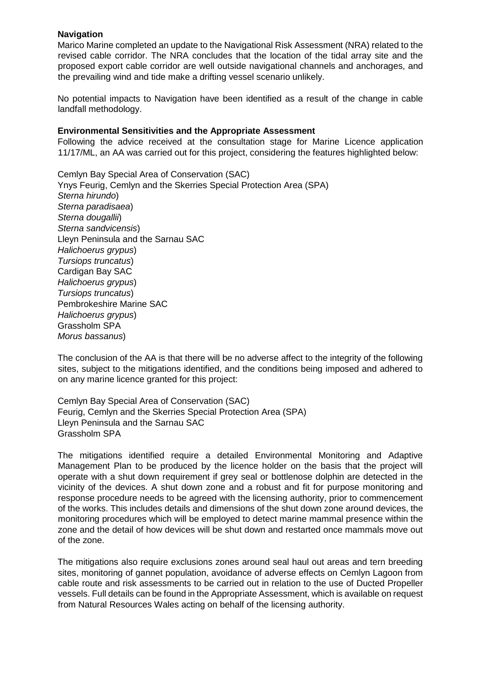## **Navigation**

Marico Marine completed an update to the Navigational Risk Assessment (NRA) related to the revised cable corridor. The NRA concludes that the location of the tidal array site and the proposed export cable corridor are well outside navigational channels and anchorages, and the prevailing wind and tide make a drifting vessel scenario unlikely.

No potential impacts to Navigation have been identified as a result of the change in cable landfall methodology.

#### **Environmental Sensitivities and the Appropriate Assessment**

Following the advice received at the consultation stage for Marine Licence application 11/17/ML, an AA was carried out for this project, considering the features highlighted below:

Cemlyn Bay Special Area of Conservation (SAC) Ynys Feurig, Cemlyn and the Skerries Special Protection Area (SPA) *Sterna hirundo*) *Sterna paradisaea*) *Sterna dougallii*) *Sterna sandvicensis*) Lleyn Peninsula and the Sarnau SAC *Halichoerus grypus*) *Tursiops truncatus*) Cardigan Bay SAC *Halichoerus grypus*) *Tursiops truncatus*) Pembrokeshire Marine SAC *Halichoerus grypus*) Grassholm SPA *Morus bassanus*)

The conclusion of the AA is that there will be no adverse affect to the integrity of the following sites, subject to the mitigations identified, and the conditions being imposed and adhered to on any marine licence granted for this project:

Cemlyn Bay Special Area of Conservation (SAC) Feurig, Cemlyn and the Skerries Special Protection Area (SPA) Lleyn Peninsula and the Sarnau SAC Grassholm SPA

The mitigations identified require a detailed Environmental Monitoring and Adaptive Management Plan to be produced by the licence holder on the basis that the project will operate with a shut down requirement if grey seal or bottlenose dolphin are detected in the vicinity of the devices. A shut down zone and a robust and fit for purpose monitoring and response procedure needs to be agreed with the licensing authority, prior to commencement of the works. This includes details and dimensions of the shut down zone around devices, the monitoring procedures which will be employed to detect marine mammal presence within the zone and the detail of how devices will be shut down and restarted once mammals move out of the zone.

The mitigations also require exclusions zones around seal haul out areas and tern breeding sites, monitoring of gannet population, avoidance of adverse effects on Cemlyn Lagoon from cable route and risk assessments to be carried out in relation to the use of Ducted Propeller vessels. Full details can be found in the Appropriate Assessment, which is available on request from Natural Resources Wales acting on behalf of the licensing authority.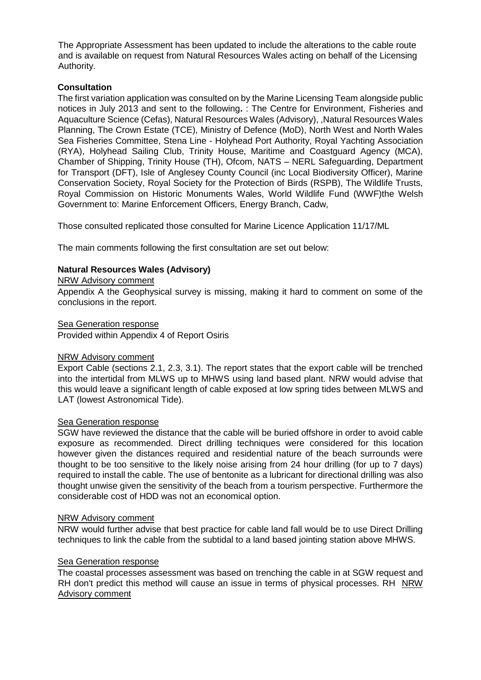The Appropriate Assessment has been updated to include the alterations to the cable route and is available on request from Natural Resources Wales acting on behalf of the Licensing Authority.

# **Consultation**

The first variation application was consulted on by the Marine Licensing Team alongside public notices in July 2013 and sent to the following**.** : The Centre for Environment, Fisheries and Aquaculture Science (Cefas), Natural Resources Wales (Advisory), ,Natural Resources Wales Planning, The Crown Estate (TCE), Ministry of Defence (MoD), North West and North Wales Sea Fisheries Committee, Stena Line - Holyhead Port Authority, Royal Yachting Association (RYA), Holyhead Sailing Club, Trinity House, Maritime and Coastguard Agency (MCA), Chamber of Shipping, Trinity House (TH), Ofcom, NATS – NERL Safeguarding, Department for Transport (DFT), Isle of Anglesey County Council (inc Local Biodiversity Officer), Marine Conservation Society, Royal Society for the Protection of Birds (RSPB), The Wildlife Trusts, Royal Commission on Historic Monuments Wales, World Wildlife Fund (WWF)the Welsh Government to: Marine Enforcement Officers, Energy Branch, Cadw,

Those consulted replicated those consulted for Marine Licence Application 11/17/ML

The main comments following the first consultation are set out below:

# **Natural Resources Wales (Advisory)**

## NRW Advisory comment

Appendix A the Geophysical survey is missing, making it hard to comment on some of the conclusions in the report.

#### Sea Generation response

Provided within Appendix 4 of Report Osiris

## NRW Advisory comment

Export Cable (sections 2.1, 2.3, 3.1). The report states that the export cable will be trenched into the intertidal from MLWS up to MHWS using land based plant. NRW would advise that this would leave a significant length of cable exposed at low spring tides between MLWS and LAT (lowest Astronomical Tide).

## Sea Generation response

SGW have reviewed the distance that the cable will be buried offshore in order to avoid cable exposure as recommended. Direct drilling techniques were considered for this location however given the distances required and residential nature of the beach surrounds were thought to be too sensitive to the likely noise arising from 24 hour drilling (for up to 7 days) required to install the cable. The use of bentonite as a lubricant for directional drilling was also thought unwise given the sensitivity of the beach from a tourism perspective. Furthermore the considerable cost of HDD was not an economical option.

#### NRW Advisory comment

NRW would further advise that best practice for cable land fall would be to use Direct Drilling techniques to link the cable from the subtidal to a land based jointing station above MHWS.

## Sea Generation response

The coastal processes assessment was based on trenching the cable in at SGW request and RH don't predict this method will cause an issue in terms of physical processes. RH NRW Advisory comment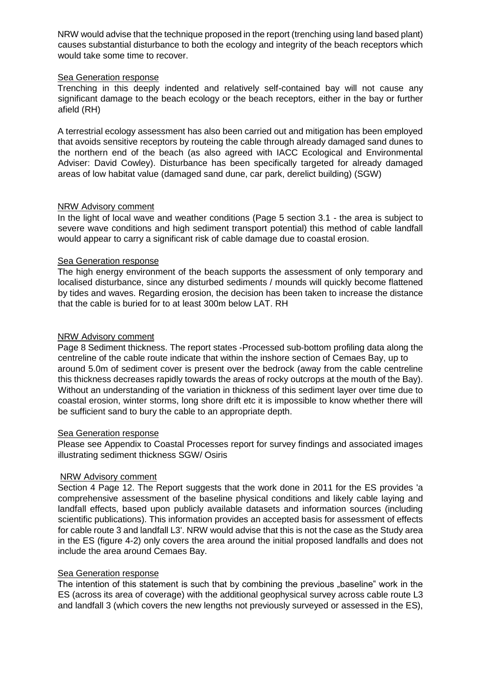NRW would advise that the technique proposed in the report (trenching using land based plant) causes substantial disturbance to both the ecology and integrity of the beach receptors which would take some time to recover.

## Sea Generation response

Trenching in this deeply indented and relatively self-contained bay will not cause any significant damage to the beach ecology or the beach receptors, either in the bay or further afield (RH)

A terrestrial ecology assessment has also been carried out and mitigation has been employed that avoids sensitive receptors by routeing the cable through already damaged sand dunes to the northern end of the beach (as also agreed with IACC Ecological and Environmental Adviser: David Cowley). Disturbance has been specifically targeted for already damaged areas of low habitat value (damaged sand dune, car park, derelict building) (SGW)

## NRW Advisory comment

In the light of local wave and weather conditions (Page 5 section 3.1 - the area is subject to severe wave conditions and high sediment transport potential) this method of cable landfall would appear to carry a significant risk of cable damage due to coastal erosion.

#### Sea Generation response

The high energy environment of the beach supports the assessment of only temporary and localised disturbance, since any disturbed sediments / mounds will quickly become flattened by tides and waves. Regarding erosion, the decision has been taken to increase the distance that the cable is buried for to at least 300m below LAT. RH

#### NRW Advisory comment

Page 8 Sediment thickness. The report states -Processed sub-bottom profiling data along the centreline of the cable route indicate that within the inshore section of Cemaes Bay, up to around 5.0m of sediment cover is present over the bedrock (away from the cable centreline this thickness decreases rapidly towards the areas of rocky outcrops at the mouth of the Bay). Without an understanding of the variation in thickness of this sediment layer over time due to coastal erosion, winter storms, long shore drift etc it is impossible to know whether there will be sufficient sand to bury the cable to an appropriate depth.

#### Sea Generation response

Please see Appendix to Coastal Processes report for survey findings and associated images illustrating sediment thickness SGW/ Osiris

## NRW Advisory comment

Section 4 Page 12. The Report suggests that the work done in 2011 for the ES provides 'a comprehensive assessment of the baseline physical conditions and likely cable laying and landfall effects, based upon publicly available datasets and information sources (including scientific publications). This information provides an accepted basis for assessment of effects for cable route 3 and landfall L3'. NRW would advise that this is not the case as the Study area in the ES (figure 4-2) only covers the area around the initial proposed landfalls and does not include the area around Cemaes Bay.

## Sea Generation response

The intention of this statement is such that by combining the previous "baseline" work in the ES (across its area of coverage) with the additional geophysical survey across cable route L3 and landfall 3 (which covers the new lengths not previously surveyed or assessed in the ES),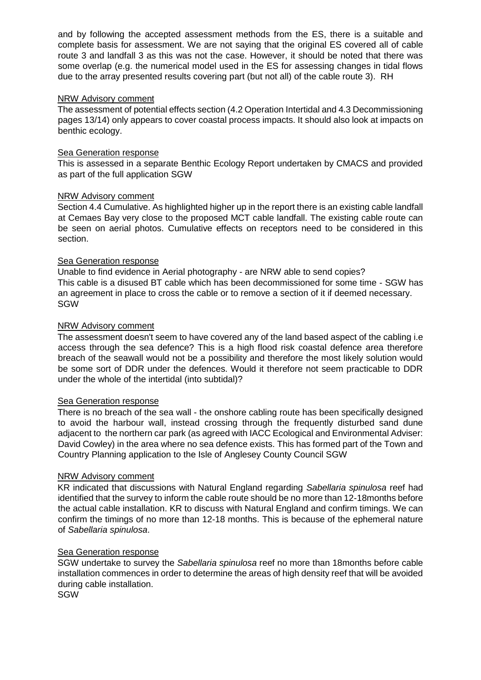and by following the accepted assessment methods from the ES, there is a suitable and complete basis for assessment. We are not saying that the original ES covered all of cable route 3 and landfall 3 as this was not the case. However, it should be noted that there was some overlap (e.g. the numerical model used in the ES for assessing changes in tidal flows due to the array presented results covering part (but not all) of the cable route 3). RH

#### NRW Advisory comment

The assessment of potential effects section (4.2 Operation Intertidal and 4.3 Decommissioning pages 13/14) only appears to cover coastal process impacts. It should also look at impacts on benthic ecology.

#### Sea Generation response

This is assessed in a separate Benthic Ecology Report undertaken by CMACS and provided as part of the full application SGW

#### NRW Advisory comment

Section 4.4 Cumulative. As highlighted higher up in the report there is an existing cable landfall at Cemaes Bay very close to the proposed MCT cable landfall. The existing cable route can be seen on aerial photos. Cumulative effects on receptors need to be considered in this section.

#### Sea Generation response

Unable to find evidence in Aerial photography - are NRW able to send copies? This cable is a disused BT cable which has been decommissioned for some time - SGW has an agreement in place to cross the cable or to remove a section of it if deemed necessary. SGW

#### NRW Advisory comment

The assessment doesn't seem to have covered any of the land based aspect of the cabling i.e access through the sea defence? This is a high flood risk coastal defence area therefore breach of the seawall would not be a possibility and therefore the most likely solution would be some sort of DDR under the defences. Would it therefore not seem practicable to DDR under the whole of the intertidal (into subtidal)?

#### Sea Generation response

There is no breach of the sea wall - the onshore cabling route has been specifically designed to avoid the harbour wall, instead crossing through the frequently disturbed sand dune adjacent to the northern car park (as agreed with IACC Ecological and Environmental Adviser: David Cowley) in the area where no sea defence exists. This has formed part of the Town and Country Planning application to the Isle of Anglesey County Council SGW

#### NRW Advisory comment

KR indicated that discussions with Natural England regarding *Sabellaria spinulosa* reef had identified that the survey to inform the cable route should be no more than 12-18months before the actual cable installation. KR to discuss with Natural England and confirm timings. We can confirm the timings of no more than 12-18 months. This is because of the ephemeral nature of *Sabellaria spinulosa*.

## Sea Generation response

SGW undertake to survey the *Sabellaria spinulosa* reef no more than 18months before cable installation commences in order to determine the areas of high density reef that will be avoided during cable installation.

**SGW**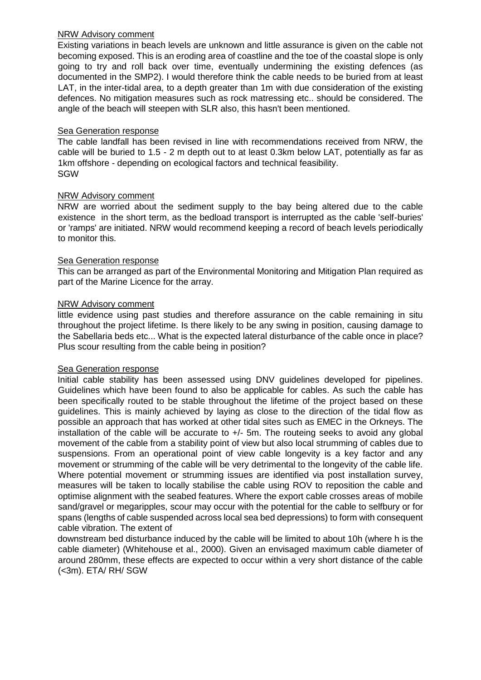#### NRW Advisory comment

Existing variations in beach levels are unknown and little assurance is given on the cable not becoming exposed. This is an eroding area of coastline and the toe of the coastal slope is only going to try and roll back over time, eventually undermining the existing defences (as documented in the SMP2). I would therefore think the cable needs to be buried from at least LAT, in the inter-tidal area, to a depth greater than 1m with due consideration of the existing defences. No mitigation measures such as rock matressing etc.. should be considered. The angle of the beach will steepen with SLR also, this hasn't been mentioned.

## Sea Generation response

The cable landfall has been revised in line with recommendations received from NRW, the cable will be buried to 1.5 - 2 m depth out to at least 0.3km below LAT, potentially as far as 1km offshore - depending on ecological factors and technical feasibility. SGW

# NRW Advisory comment

NRW are worried about the sediment supply to the bay being altered due to the cable existence in the short term, as the bedload transport is interrupted as the cable 'self-buries' or 'ramps' are initiated. NRW would recommend keeping a record of beach levels periodically to monitor this.

## Sea Generation response

This can be arranged as part of the Environmental Monitoring and Mitigation Plan required as part of the Marine Licence for the array.

## NRW Advisory comment

little evidence using past studies and therefore assurance on the cable remaining in situ throughout the project lifetime. Is there likely to be any swing in position, causing damage to the Sabellaria beds etc... What is the expected lateral disturbance of the cable once in place? Plus scour resulting from the cable being in position?

## Sea Generation response

Initial cable stability has been assessed using DNV guidelines developed for pipelines. Guidelines which have been found to also be applicable for cables. As such the cable has been specifically routed to be stable throughout the lifetime of the project based on these guidelines. This is mainly achieved by laying as close to the direction of the tidal flow as possible an approach that has worked at other tidal sites such as EMEC in the Orkneys. The installation of the cable will be accurate to +/- 5m. The routeing seeks to avoid any global movement of the cable from a stability point of view but also local strumming of cables due to suspensions. From an operational point of view cable longevity is a key factor and any movement or strumming of the cable will be very detrimental to the longevity of the cable life. Where potential movement or strumming issues are identified via post installation survey, measures will be taken to locally stabilise the cable using ROV to reposition the cable and optimise alignment with the seabed features. Where the export cable crosses areas of mobile sand/gravel or megaripples, scour may occur with the potential for the cable to selfbury or for spans (lengths of cable suspended across local sea bed depressions) to form with consequent cable vibration. The extent of

downstream bed disturbance induced by the cable will be limited to about 10h (where h is the cable diameter) (Whitehouse et al., 2000). Given an envisaged maximum cable diameter of around 280mm, these effects are expected to occur within a very short distance of the cable (<3m). ETA/ RH/ SGW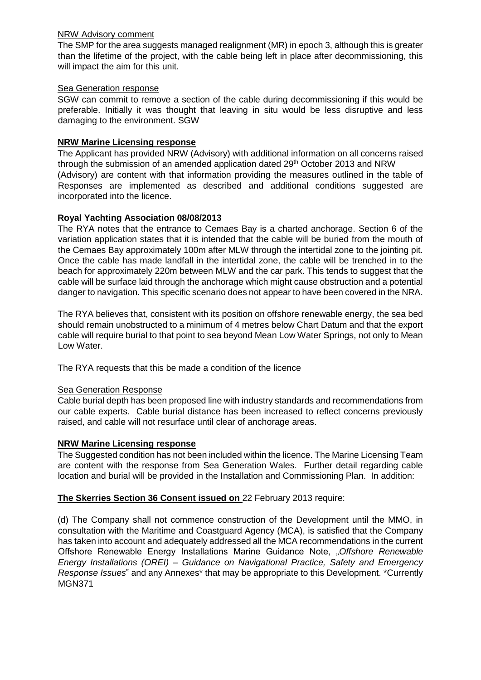## NRW Advisory comment

The SMP for the area suggests managed realignment (MR) in epoch 3, although this is greater than the lifetime of the project, with the cable being left in place after decommissioning, this will impact the aim for this unit.

## Sea Generation response

SGW can commit to remove a section of the cable during decommissioning if this would be preferable. Initially it was thought that leaving in situ would be less disruptive and less damaging to the environment. SGW

# **NRW Marine Licensing response**

The Applicant has provided NRW (Advisory) with additional information on all concerns raised through the submission of an amended application dated  $29<sup>th</sup>$  October 2013 and NRW (Advisory) are content with that information providing the measures outlined in the table of Responses are implemented as described and additional conditions suggested are incorporated into the licence.

# **Royal Yachting Association 08/08/2013**

The RYA notes that the entrance to Cemaes Bay is a charted anchorage. Section 6 of the variation application states that it is intended that the cable will be buried from the mouth of the Cemaes Bay approximately 100m after MLW through the intertidal zone to the jointing pit. Once the cable has made landfall in the intertidal zone, the cable will be trenched in to the beach for approximately 220m between MLW and the car park. This tends to suggest that the cable will be surface laid through the anchorage which might cause obstruction and a potential danger to navigation. This specific scenario does not appear to have been covered in the NRA.

The RYA believes that, consistent with its position on offshore renewable energy, the sea bed should remain unobstructed to a minimum of 4 metres below Chart Datum and that the export cable will require burial to that point to sea beyond Mean Low Water Springs, not only to Mean Low Water.

The RYA requests that this be made a condition of the licence

## Sea Generation Response

Cable burial depth has been proposed line with industry standards and recommendations from our cable experts. Cable burial distance has been increased to reflect concerns previously raised, and cable will not resurface until clear of anchorage areas.

## **NRW Marine Licensing response**

The Suggested condition has not been included within the licence. The Marine Licensing Team are content with the response from Sea Generation Wales. Further detail regarding cable location and burial will be provided in the Installation and Commissioning Plan. In addition:

# **The Skerries Section 36 Consent issued on** 22 February 2013 require:

(d) The Company shall not commence construction of the Development until the MMO, in consultation with the Maritime and Coastguard Agency (MCA), is satisfied that the Company has taken into account and adequately addressed all the MCA recommendations in the current Offshore Renewable Energy Installations Marine Guidance Note, "*Offshore Renewable Energy Installations (OREI) – Guidance on Navigational Practice, Safety and Emergency Response Issues*" and any Annexes\* that may be appropriate to this Development. \*Currently MGN371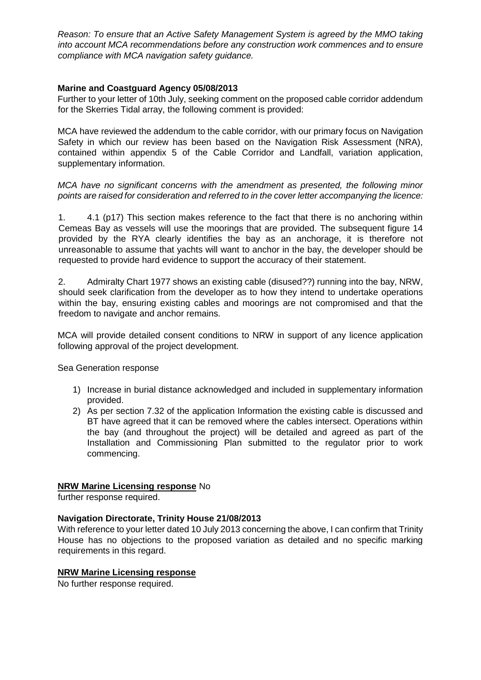*Reason: To ensure that an Active Safety Management System is agreed by the MMO taking into account MCA recommendations before any construction work commences and to ensure compliance with MCA navigation safety guidance.* 

## **Marine and Coastguard Agency 05/08/2013**

Further to your letter of 10th July, seeking comment on the proposed cable corridor addendum for the Skerries Tidal array, the following comment is provided:

MCA have reviewed the addendum to the cable corridor, with our primary focus on Navigation Safety in which our review has been based on the Navigation Risk Assessment (NRA), contained within appendix 5 of the Cable Corridor and Landfall, variation application, supplementary information.

## *MCA have no significant concerns with the amendment as presented, the following minor points are raised for consideration and referred to in the cover letter accompanying the licence:*

1. 4.1 (p17) This section makes reference to the fact that there is no anchoring within Cemeas Bay as vessels will use the moorings that are provided. The subsequent figure 14 provided by the RYA clearly identifies the bay as an anchorage, it is therefore not unreasonable to assume that yachts will want to anchor in the bay, the developer should be requested to provide hard evidence to support the accuracy of their statement.

2. Admiralty Chart 1977 shows an existing cable (disused??) running into the bay, NRW, should seek clarification from the developer as to how they intend to undertake operations within the bay, ensuring existing cables and moorings are not compromised and that the freedom to navigate and anchor remains.

MCA will provide detailed consent conditions to NRW in support of any licence application following approval of the project development.

Sea Generation response

- 1) Increase in burial distance acknowledged and included in supplementary information provided.
- 2) As per section 7.32 of the application Information the existing cable is discussed and BT have agreed that it can be removed where the cables intersect. Operations within the bay (and throughout the project) will be detailed and agreed as part of the Installation and Commissioning Plan submitted to the regulator prior to work commencing.

## **NRW Marine Licensing response** No

further response required.

# **Navigation Directorate, Trinity House 21/08/2013**

With reference to your letter dated 10 July 2013 concerning the above, I can confirm that Trinity House has no objections to the proposed variation as detailed and no specific marking requirements in this regard.

## **NRW Marine Licensing response**

No further response required.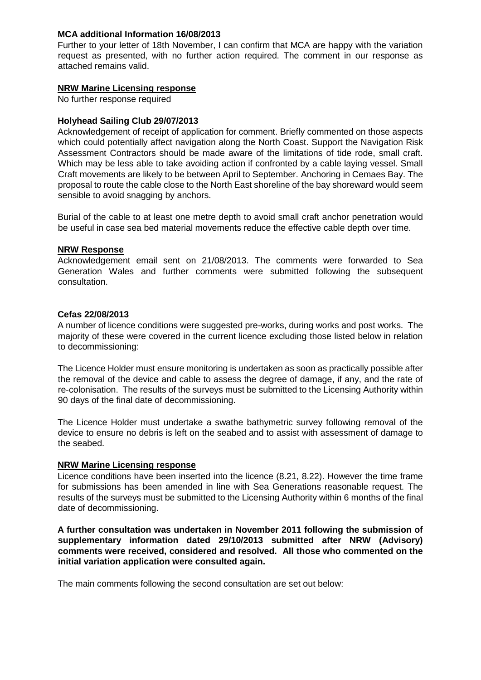## **MCA additional Information 16/08/2013**

Further to your letter of 18th November, I can confirm that MCA are happy with the variation request as presented, with no further action required. The comment in our response as attached remains valid.

# **NRW Marine Licensing response**

No further response required

# **Holyhead Sailing Club 29/07/2013**

Acknowledgement of receipt of application for comment. Briefly commented on those aspects which could potentially affect navigation along the North Coast. Support the Navigation Risk Assessment Contractors should be made aware of the limitations of tide rode, small craft. Which may be less able to take avoiding action if confronted by a cable laying vessel. Small Craft movements are likely to be between April to September. Anchoring in Cemaes Bay. The proposal to route the cable close to the North East shoreline of the bay shoreward would seem sensible to avoid snagging by anchors.

Burial of the cable to at least one metre depth to avoid small craft anchor penetration would be useful in case sea bed material movements reduce the effective cable depth over time.

## **NRW Response**

Acknowledgement email sent on 21/08/2013. The comments were forwarded to Sea Generation Wales and further comments were submitted following the subsequent consultation.

## **Cefas 22/08/2013**

A number of licence conditions were suggested pre-works, during works and post works. The majority of these were covered in the current licence excluding those listed below in relation to decommissioning:

The Licence Holder must ensure monitoring is undertaken as soon as practically possible after the removal of the device and cable to assess the degree of damage, if any, and the rate of re-colonisation. The results of the surveys must be submitted to the Licensing Authority within 90 days of the final date of decommissioning.

The Licence Holder must undertake a swathe bathymetric survey following removal of the device to ensure no debris is left on the seabed and to assist with assessment of damage to the seabed.

## **NRW Marine Licensing response**

Licence conditions have been inserted into the licence (8.21, 8.22). However the time frame for submissions has been amended in line with Sea Generations reasonable request. The results of the surveys must be submitted to the Licensing Authority within 6 months of the final date of decommissioning.

**A further consultation was undertaken in November 2011 following the submission of supplementary information dated 29/10/2013 submitted after NRW (Advisory) comments were received, considered and resolved. All those who commented on the initial variation application were consulted again.** 

The main comments following the second consultation are set out below: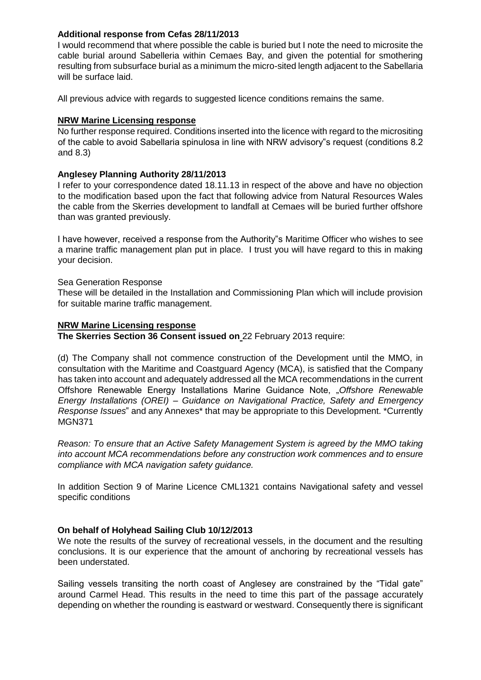## **Additional response from Cefas 28/11/2013**

I would recommend that where possible the cable is buried but I note the need to microsite the cable burial around Sabelleria within Cemaes Bay, and given the potential for smothering resulting from subsurface burial as a minimum the micro-sited length adjacent to the Sabellaria will be surface laid.

All previous advice with regards to suggested licence conditions remains the same.

# **NRW Marine Licensing response**

No further response required. Conditions inserted into the licence with regard to the micrositing of the cable to avoid Sabellaria spinulosa in line with NRW advisory"s request (conditions 8.2 and 8.3)

# **Anglesey Planning Authority 28/11/2013**

I refer to your correspondence dated 18.11.13 in respect of the above and have no objection to the modification based upon the fact that following advice from Natural Resources Wales the cable from the Skerries development to landfall at Cemaes will be buried further offshore than was granted previously.

I have however, received a response from the Authority"s Maritime Officer who wishes to see a marine traffic management plan put in place. I trust you will have regard to this in making your decision.

## Sea Generation Response

These will be detailed in the Installation and Commissioning Plan which will include provision for suitable marine traffic management.

## **NRW Marine Licensing response**

**The Skerries Section 36 Consent issued on** 22 February 2013 require:

(d) The Company shall not commence construction of the Development until the MMO, in consultation with the Maritime and Coastguard Agency (MCA), is satisfied that the Company has taken into account and adequately addressed all the MCA recommendations in the current Offshore Renewable Energy Installations Marine Guidance Note, "*Offshore Renewable Energy Installations (OREI) – Guidance on Navigational Practice, Safety and Emergency Response Issues*" and any Annexes\* that may be appropriate to this Development. \*Currently MGN371

*Reason: To ensure that an Active Safety Management System is agreed by the MMO taking into account MCA recommendations before any construction work commences and to ensure compliance with MCA navigation safety guidance.* 

In addition Section 9 of Marine Licence CML1321 contains Navigational safety and vessel specific conditions

# **On behalf of Holyhead Sailing Club 10/12/2013**

We note the results of the survey of recreational vessels, in the document and the resulting conclusions. It is our experience that the amount of anchoring by recreational vessels has been understated.

Sailing vessels transiting the north coast of Anglesey are constrained by the "Tidal gate" around Carmel Head. This results in the need to time this part of the passage accurately depending on whether the rounding is eastward or westward. Consequently there is significant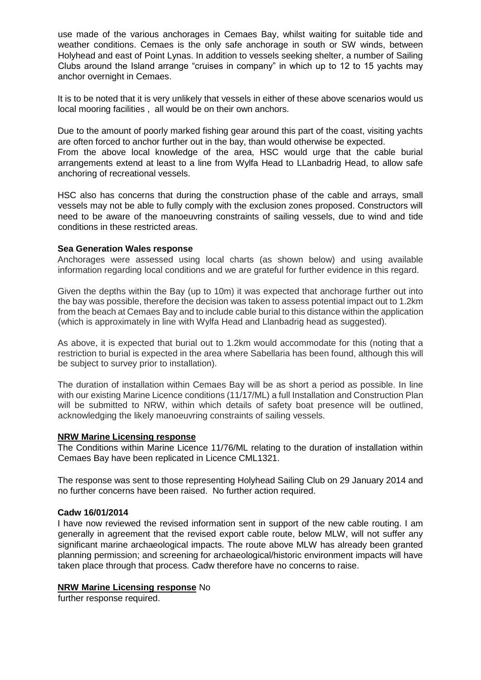use made of the various anchorages in Cemaes Bay, whilst waiting for suitable tide and weather conditions. Cemaes is the only safe anchorage in south or SW winds, between Holyhead and east of Point Lynas. In addition to vessels seeking shelter, a number of Sailing Clubs around the Island arrange "cruises in company" in which up to 12 to 15 yachts may anchor overnight in Cemaes.

It is to be noted that it is very unlikely that vessels in either of these above scenarios would us local mooring facilities , all would be on their own anchors.

Due to the amount of poorly marked fishing gear around this part of the coast, visiting yachts are often forced to anchor further out in the bay, than would otherwise be expected. From the above local knowledge of the area, HSC would urge that the cable burial arrangements extend at least to a line from Wylfa Head to LLanbadrig Head, to allow safe anchoring of recreational vessels.

HSC also has concerns that during the construction phase of the cable and arrays, small vessels may not be able to fully comply with the exclusion zones proposed. Constructors will need to be aware of the manoeuvring constraints of sailing vessels, due to wind and tide conditions in these restricted areas.

#### **Sea Generation Wales response**

Anchorages were assessed using local charts (as shown below) and using available information regarding local conditions and we are grateful for further evidence in this regard.

Given the depths within the Bay (up to 10m) it was expected that anchorage further out into the bay was possible, therefore the decision was taken to assess potential impact out to 1.2km from the beach at Cemaes Bay and to include cable burial to this distance within the application (which is approximately in line with Wylfa Head and Llanbadrig head as suggested).

As above, it is expected that burial out to 1.2km would accommodate for this (noting that a restriction to burial is expected in the area where Sabellaria has been found, although this will be subject to survey prior to installation).

The duration of installation within Cemaes Bay will be as short a period as possible. In line with our existing Marine Licence conditions (11/17/ML) a full Installation and Construction Plan will be submitted to NRW, within which details of safety boat presence will be outlined, acknowledging the likely manoeuvring constraints of sailing vessels.

#### **NRW Marine Licensing response**

The Conditions within Marine Licence 11/76/ML relating to the duration of installation within Cemaes Bay have been replicated in Licence CML1321.

The response was sent to those representing Holyhead Sailing Club on 29 January 2014 and no further concerns have been raised. No further action required.

#### **Cadw 16/01/2014**

I have now reviewed the revised information sent in support of the new cable routing. I am generally in agreement that the revised export cable route, below MLW, will not suffer any significant marine archaeological impacts. The route above MLW has already been granted planning permission; and screening for archaeological/historic environment impacts will have taken place through that process. Cadw therefore have no concerns to raise.

## **NRW Marine Licensing response** No

further response required.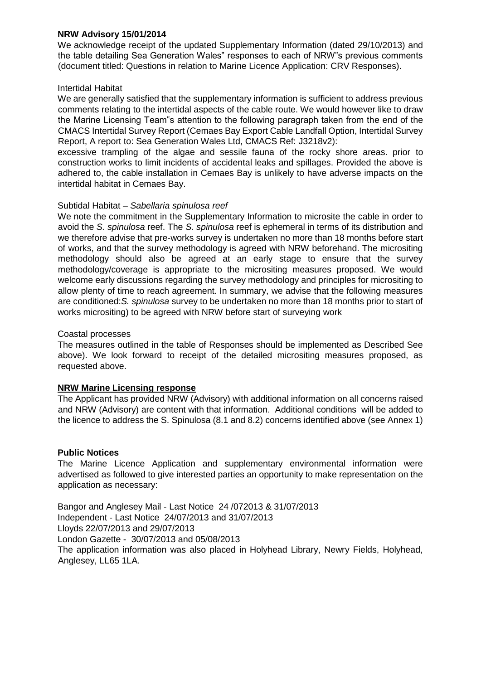## **NRW Advisory 15/01/2014**

We acknowledge receipt of the updated Supplementary Information (dated 29/10/2013) and the table detailing Sea Generation Wales" responses to each of NRW"s previous comments (document titled: Questions in relation to Marine Licence Application: CRV Responses).

## Intertidal Habitat

We are generally satisfied that the supplementary information is sufficient to address previous comments relating to the intertidal aspects of the cable route. We would however like to draw the Marine Licensing Team"s attention to the following paragraph taken from the end of the CMACS Intertidal Survey Report (Cemaes Bay Export Cable Landfall Option, Intertidal Survey Report, A report to: Sea Generation Wales Ltd, CMACS Ref: J3218v2):

excessive trampling of the algae and sessile fauna of the rocky shore areas. prior to construction works to limit incidents of accidental leaks and spillages. Provided the above is adhered to, the cable installation in Cemaes Bay is unlikely to have adverse impacts on the intertidal habitat in Cemaes Bay.

## Subtidal Habitat *– Sabellaria spinulosa reef*

We note the commitment in the Supplementary Information to microsite the cable in order to avoid the *S. spinulosa* reef. The *S. spinulosa* reef is ephemeral in terms of its distribution and we therefore advise that pre-works survey is undertaken no more than 18 months before start of works, and that the survey methodology is agreed with NRW beforehand. The micrositing methodology should also be agreed at an early stage to ensure that the survey methodology/coverage is appropriate to the micrositing measures proposed. We would welcome early discussions regarding the survey methodology and principles for micrositing to allow plenty of time to reach agreement. In summary, we advise that the following measures are conditioned:*S. spinulosa* survey to be undertaken no more than 18 months prior to start of works micrositing) to be agreed with NRW before start of surveying work

# Coastal processes

The measures outlined in the table of Responses should be implemented as Described See above). We look forward to receipt of the detailed micrositing measures proposed, as requested above.

# **NRW Marine Licensing response**

The Applicant has provided NRW (Advisory) with additional information on all concerns raised and NRW (Advisory) are content with that information. Additional conditions will be added to the licence to address the S. Spinulosa (8.1 and 8.2) concerns identified above (see Annex 1)

## **Public Notices**

The Marine Licence Application and supplementary environmental information were advertised as followed to give interested parties an opportunity to make representation on the application as necessary:

Bangor and Anglesey Mail - Last Notice 24 /072013 & 31/07/2013 Independent - Last Notice 24/07/2013 and 31/07/2013 Lloyds 22/07/2013 and 29/07/2013 London Gazette - 30/07/2013 and 05/08/2013 The application information was also placed in Holyhead Library, Newry Fields, Holyhead, Anglesey, LL65 1LA.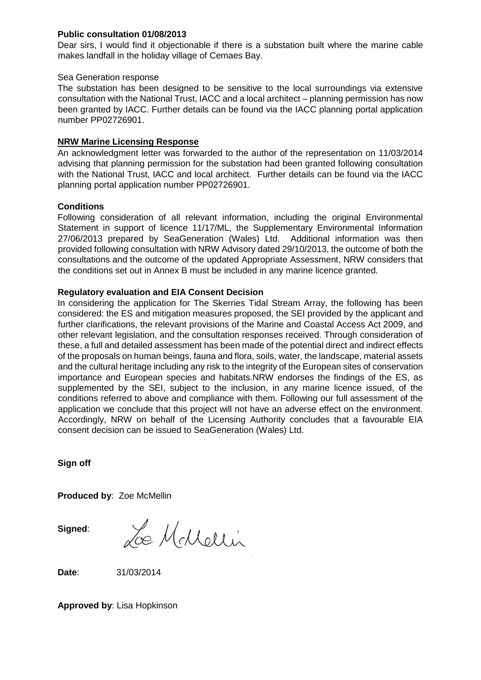## **Public consultation 01/08/2013**

Dear sirs, I would find it objectionable if there is a substation built where the marine cable makes landfall in the holiday village of Cemaes Bay.

## Sea Generation response

The substation has been designed to be sensitive to the local surroundings via extensive consultation with the National Trust, IACC and a local architect – planning permission has now been granted by IACC. Further details can be found via the IACC planning portal application number PP02726901.

# **NRW Marine Licensing Response**

An acknowledgment letter was forwarded to the author of the representation on 11/03/2014 advising that planning permission for the substation had been granted following consultation with the National Trust, IACC and local architect. Further details can be found via the IACC planning portal application number PP02726901.

# **Conditions**

Following consideration of all relevant information, including the original Environmental Statement in support of licence 11/17/ML, the Supplementary Environmental Information 27/06/2013 prepared by SeaGeneration (Wales) Ltd. Additional information was then provided following consultation with NRW Advisory dated 29/10/2013, the outcome of both the consultations and the outcome of the updated Appropriate Assessment, NRW considers that the conditions set out in Annex B must be included in any marine licence granted.

# **Regulatory evaluation and EIA Consent Decision**

In considering the application for The Skerries Tidal Stream Array, the following has been considered: the ES and mitigation measures proposed, the SEI provided by the applicant and further clarifications, the relevant provisions of the Marine and Coastal Access Act 2009, and other relevant legislation, and the consultation responses received. Through consideration of these, a full and detailed assessment has been made of the potential direct and indirect effects of the proposals on human beings, fauna and flora, soils, water, the landscape, material assets and the cultural heritage including any risk to the integrity of the European sites of conservation importance and European species and habitats.NRW endorses the findings of the ES, as supplemented by the SEI, subject to the inclusion, in any marine licence issued, of the conditions referred to above and compliance with them. Following our full assessment of the application we conclude that this project will not have an adverse effect on the environment. Accordingly, NRW on behalf of the Licensing Authority concludes that a favourable EIA consent decision can be issued to SeaGeneration (Wales) Ltd.

**Sign off** 

**Produced by**: Zoe McMellin

**Signed**:

Le McMellin

**Date**: 31/03/2014

**Approved by**: Lisa Hopkinson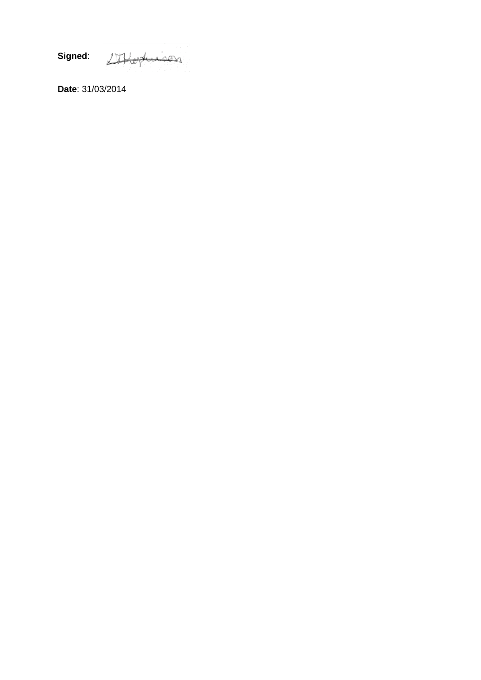**Signed**: SHophison

**Date**: 31/03/2014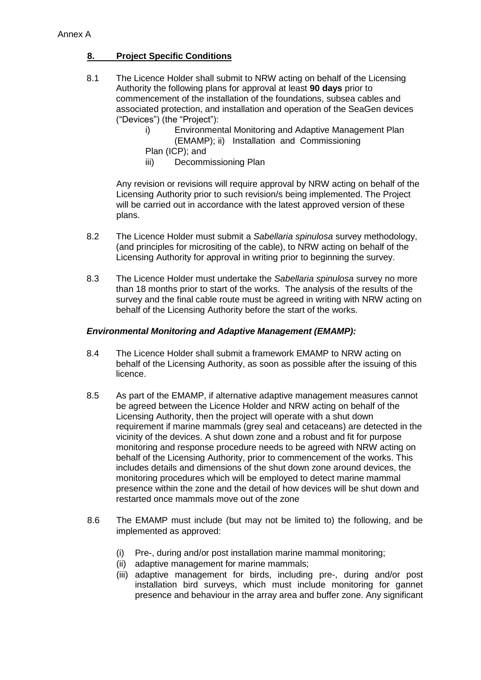# **8. Project Specific Conditions**

- 8.1 The Licence Holder shall submit to NRW acting on behalf of the Licensing Authority the following plans for approval at least **90 days** prior to commencement of the installation of the foundations, subsea cables and associated protection, and installation and operation of the SeaGen devices ("Devices") (the "Project"):
	- i) Environmental Monitoring and Adaptive Management Plan (EMAMP); ii) Installation and Commissioning
	- Plan (ICP); and
	- iii) Decommissioning Plan

Any revision or revisions will require approval by NRW acting on behalf of the Licensing Authority prior to such revision/s being implemented. The Project will be carried out in accordance with the latest approved version of these plans.

- 8.2 The Licence Holder must submit a *Sabellaria spinulosa* survey methodology, (and principles for micrositing of the cable), to NRW acting on behalf of the Licensing Authority for approval in writing prior to beginning the survey.
- 8.3 The Licence Holder must undertake the *Sabellaria spinulosa* survey no more than 18 months prior to start of the works. The analysis of the results of the survey and the final cable route must be agreed in writing with NRW acting on behalf of the Licensing Authority before the start of the works.

## *Environmental Monitoring and Adaptive Management (EMAMP):*

- 8.4 The Licence Holder shall submit a framework EMAMP to NRW acting on behalf of the Licensing Authority, as soon as possible after the issuing of this licence.
- 8.5 As part of the EMAMP, if alternative adaptive management measures cannot be agreed between the Licence Holder and NRW acting on behalf of the Licensing Authority, then the project will operate with a shut down requirement if marine mammals (grey seal and cetaceans) are detected in the vicinity of the devices. A shut down zone and a robust and fit for purpose monitoring and response procedure needs to be agreed with NRW acting on behalf of the Licensing Authority, prior to commencement of the works. This includes details and dimensions of the shut down zone around devices, the monitoring procedures which will be employed to detect marine mammal presence within the zone and the detail of how devices will be shut down and restarted once mammals move out of the zone
- 8.6 The EMAMP must include (but may not be limited to) the following, and be implemented as approved:
	- (i) Pre-, during and/or post installation marine mammal monitoring;
	- (ii) adaptive management for marine mammals;
	- (iii) adaptive management for birds, including pre-, during and/or post installation bird surveys, which must include monitoring for gannet presence and behaviour in the array area and buffer zone. Any significant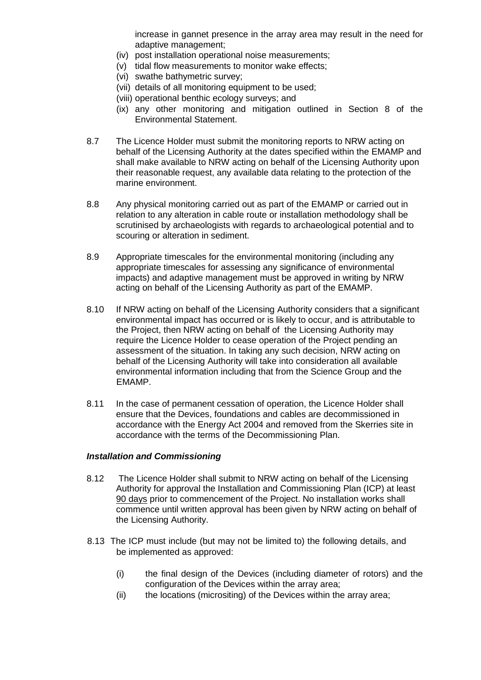increase in gannet presence in the array area may result in the need for adaptive management;

- (iv) post installation operational noise measurements;
- (v) tidal flow measurements to monitor wake effects;
- (vi) swathe bathymetric survey;
- (vii) details of all monitoring equipment to be used;
- (viii) operational benthic ecology surveys; and
- (ix) any other monitoring and mitigation outlined in Section 8 of the Environmental Statement.
- 8.7 The Licence Holder must submit the monitoring reports to NRW acting on behalf of the Licensing Authority at the dates specified within the EMAMP and shall make available to NRW acting on behalf of the Licensing Authority upon their reasonable request, any available data relating to the protection of the marine environment.
- 8.8 Any physical monitoring carried out as part of the EMAMP or carried out in relation to any alteration in cable route or installation methodology shall be scrutinised by archaeologists with regards to archaeological potential and to scouring or alteration in sediment.
- 8.9 Appropriate timescales for the environmental monitoring (including any appropriate timescales for assessing any significance of environmental impacts) and adaptive management must be approved in writing by NRW acting on behalf of the Licensing Authority as part of the EMAMP.
- 8.10 If NRW acting on behalf of the Licensing Authority considers that a significant environmental impact has occurred or is likely to occur, and is attributable to the Project, then NRW acting on behalf of the Licensing Authority may require the Licence Holder to cease operation of the Project pending an assessment of the situation. In taking any such decision, NRW acting on behalf of the Licensing Authority will take into consideration all available environmental information including that from the Science Group and the EMAMP.
- 8.11 In the case of permanent cessation of operation, the Licence Holder shall ensure that the Devices, foundations and cables are decommissioned in accordance with the Energy Act 2004 and removed from the Skerries site in accordance with the terms of the Decommissioning Plan.

#### *Installation and Commissioning*

- 8.12 The Licence Holder shall submit to NRW acting on behalf of the Licensing Authority for approval the Installation and Commissioning Plan (ICP) at least 90 days prior to commencement of the Project. No installation works shall commence until written approval has been given by NRW acting on behalf of the Licensing Authority.
- 8.13 The ICP must include (but may not be limited to) the following details, and be implemented as approved:
	- (i) the final design of the Devices (including diameter of rotors) and the configuration of the Devices within the array area;
	- (ii) the locations (micrositing) of the Devices within the array area;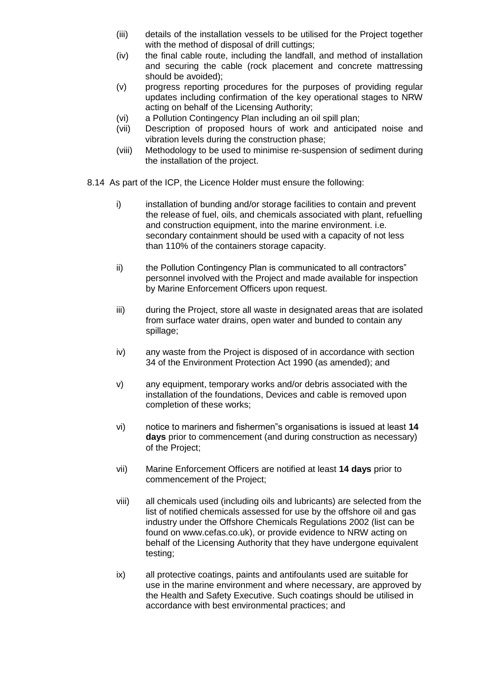- (iii) details of the installation vessels to be utilised for the Project together with the method of disposal of drill cuttings;
- (iv) the final cable route, including the landfall, and method of installation and securing the cable (rock placement and concrete mattressing should be avoided);
- (v) progress reporting procedures for the purposes of providing regular updates including confirmation of the key operational stages to NRW acting on behalf of the Licensing Authority;
- (vi) a Pollution Contingency Plan including an oil spill plan;
- (vii) Description of proposed hours of work and anticipated noise and vibration levels during the construction phase;
- (viii) Methodology to be used to minimise re-suspension of sediment during the installation of the project.
- 8.14 As part of the ICP, the Licence Holder must ensure the following:
	- i) installation of bunding and/or storage facilities to contain and prevent the release of fuel, oils, and chemicals associated with plant, refuelling and construction equipment, into the marine environment. i.e. secondary containment should be used with a capacity of not less than 110% of the containers storage capacity.
	- ii) the Pollution Contingency Plan is communicated to all contractors" personnel involved with the Project and made available for inspection by Marine Enforcement Officers upon request.
	- iii) during the Project, store all waste in designated areas that are isolated from surface water drains, open water and bunded to contain any spillage;
	- iv) any waste from the Project is disposed of in accordance with section 34 of the Environment Protection Act 1990 (as amended); and
	- v) any equipment, temporary works and/or debris associated with the installation of the foundations, Devices and cable is removed upon completion of these works;
	- vi) notice to mariners and fishermen"s organisations is issued at least **14 days** prior to commencement (and during construction as necessary) of the Project;
	- vii) Marine Enforcement Officers are notified at least **14 days** prior to commencement of the Project;
	- viii) all chemicals used (including oils and lubricants) are selected from the list of notified chemicals assessed for use by the offshore oil and gas industry under the Offshore Chemicals Regulations 2002 (list can be found on www.cefas.co.uk), or provide evidence to NRW acting on behalf of the Licensing Authority that they have undergone equivalent testing;
	- ix) all protective coatings, paints and antifoulants used are suitable for use in the marine environment and where necessary, are approved by the Health and Safety Executive. Such coatings should be utilised in accordance with best environmental practices; and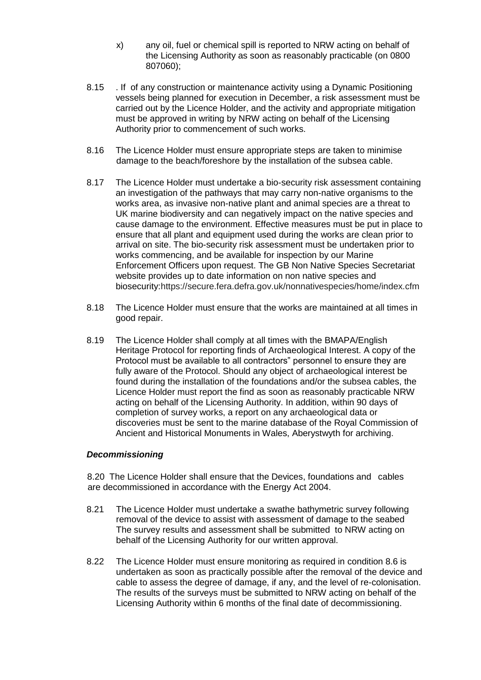- x) any oil, fuel or chemical spill is reported to NRW acting on behalf of the Licensing Authority as soon as reasonably practicable (on 0800 807060);
- 8.15 . If of any construction or maintenance activity using a Dynamic Positioning vessels being planned for execution in December, a risk assessment must be carried out by the Licence Holder, and the activity and appropriate mitigation must be approved in writing by NRW acting on behalf of the Licensing Authority prior to commencement of such works.
- 8.16 The Licence Holder must ensure appropriate steps are taken to minimise damage to the beach/foreshore by the installation of the subsea cable.
- 8.17 The Licence Holder must undertake a bio-security risk assessment containing an investigation of the pathways that may carry non-native organisms to the works area, as invasive non-native plant and animal species are a threat to UK marine biodiversity and can negatively impact on the native species and cause damage to the environment. Effective measures must be put in place to ensure that all plant and equipment used during the works are clean prior to arrival on site. The bio-security risk assessment must be undertaken prior to works commencing, and be available for inspection by our Marine Enforcement Officers upon request. The GB Non Native Species Secretariat website provides up to date information on non native species and biosecurity:https://secure.fera.defra.gov.uk/nonnativespecies/home/index.cfm
- 8.18 The Licence Holder must ensure that the works are maintained at all times in good repair.
- 8.19 The Licence Holder shall comply at all times with the BMAPA/English Heritage Protocol for reporting finds of Archaeological Interest. A copy of the Protocol must be available to all contractors" personnel to ensure they are fully aware of the Protocol. Should any object of archaeological interest be found during the installation of the foundations and/or the subsea cables, the Licence Holder must report the find as soon as reasonably practicable NRW acting on behalf of the Licensing Authority. In addition, within 90 days of completion of survey works, a report on any archaeological data or discoveries must be sent to the marine database of the Royal Commission of Ancient and Historical Monuments in Wales, Aberystwyth for archiving.

## *Decommissioning*

8.20 The Licence Holder shall ensure that the Devices, foundations and cables are decommissioned in accordance with the Energy Act 2004.

- 8.21 The Licence Holder must undertake a swathe bathymetric survey following removal of the device to assist with assessment of damage to the seabed The survey results and assessment shall be submitted to NRW acting on behalf of the Licensing Authority for our written approval.
- 8.22 The Licence Holder must ensure monitoring as required in condition 8.6 is undertaken as soon as practically possible after the removal of the device and cable to assess the degree of damage, if any, and the level of re-colonisation. The results of the surveys must be submitted to NRW acting on behalf of the Licensing Authority within 6 months of the final date of decommissioning.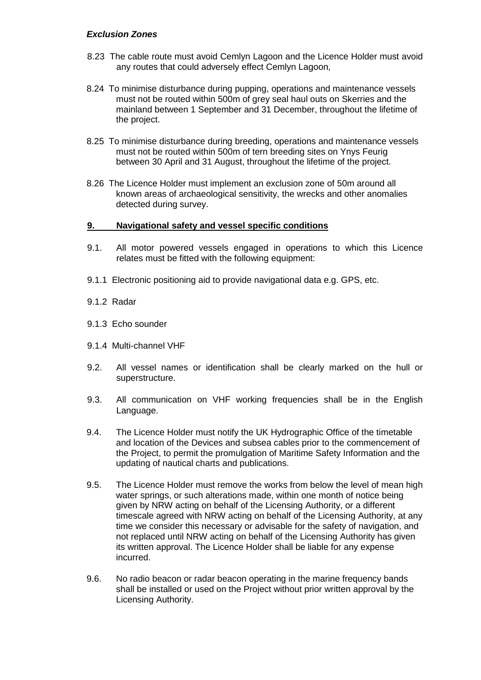## *Exclusion Zones*

- 8.23 The cable route must avoid Cemlyn Lagoon and the Licence Holder must avoid any routes that could adversely effect Cemlyn Lagoon,
- 8.24 To minimise disturbance during pupping, operations and maintenance vessels must not be routed within 500m of grey seal haul outs on Skerries and the mainland between 1 September and 31 December, throughout the lifetime of the project.
- 8.25 To minimise disturbance during breeding, operations and maintenance vessels must not be routed within 500m of tern breeding sites on Ynys Feurig between 30 April and 31 August, throughout the lifetime of the project.
- 8.26 The Licence Holder must implement an exclusion zone of 50m around all known areas of archaeological sensitivity, the wrecks and other anomalies detected during survey.

#### **9. Navigational safety and vessel specific conditions**

- 9.1. All motor powered vessels engaged in operations to which this Licence relates must be fitted with the following equipment:
- 9.1.1 Electronic positioning aid to provide navigational data e.g. GPS, etc.
- 9.1.2 Radar
- 9.1.3 Echo sounder
- 9.1.4 Multi-channel VHF
- 9.2. All vessel names or identification shall be clearly marked on the hull or superstructure.
- 9.3. All communication on VHF working frequencies shall be in the English Language.
- 9.4. The Licence Holder must notify the UK Hydrographic Office of the timetable and location of the Devices and subsea cables prior to the commencement of the Project, to permit the promulgation of Maritime Safety Information and the updating of nautical charts and publications.
- 9.5. The Licence Holder must remove the works from below the level of mean high water springs, or such alterations made, within one month of notice being given by NRW acting on behalf of the Licensing Authority, or a different timescale agreed with NRW acting on behalf of the Licensing Authority, at any time we consider this necessary or advisable for the safety of navigation, and not replaced until NRW acting on behalf of the Licensing Authority has given its written approval. The Licence Holder shall be liable for any expense incurred.
- 9.6. No radio beacon or radar beacon operating in the marine frequency bands shall be installed or used on the Project without prior written approval by the Licensing Authority.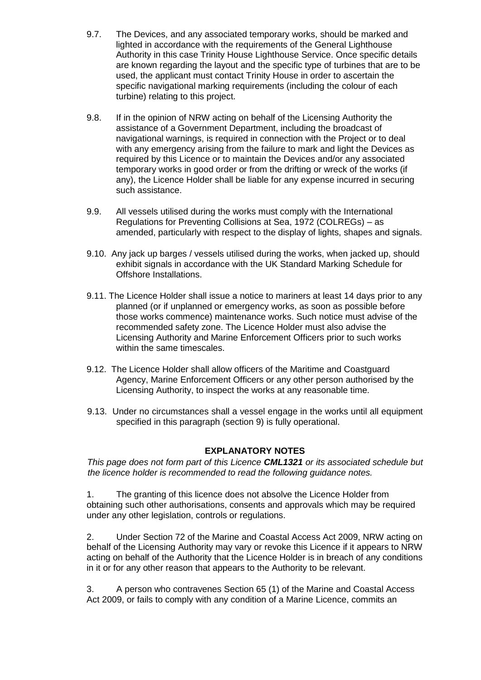- 9.7. The Devices, and any associated temporary works, should be marked and lighted in accordance with the requirements of the General Lighthouse Authority in this case Trinity House Lighthouse Service. Once specific details are known regarding the layout and the specific type of turbines that are to be used, the applicant must contact Trinity House in order to ascertain the specific navigational marking requirements (including the colour of each turbine) relating to this project.
- 9.8. If in the opinion of NRW acting on behalf of the Licensing Authority the assistance of a Government Department, including the broadcast of navigational warnings, is required in connection with the Project or to deal with any emergency arising from the failure to mark and light the Devices as required by this Licence or to maintain the Devices and/or any associated temporary works in good order or from the drifting or wreck of the works (if any), the Licence Holder shall be liable for any expense incurred in securing such assistance.
- 9.9. All vessels utilised during the works must comply with the International Regulations for Preventing Collisions at Sea, 1972 (COLREGs) – as amended, particularly with respect to the display of lights, shapes and signals.
- 9.10. Any jack up barges / vessels utilised during the works, when jacked up, should exhibit signals in accordance with the UK Standard Marking Schedule for Offshore Installations.
- 9.11. The Licence Holder shall issue a notice to mariners at least 14 days prior to any planned (or if unplanned or emergency works, as soon as possible before those works commence) maintenance works. Such notice must advise of the recommended safety zone. The Licence Holder must also advise the Licensing Authority and Marine Enforcement Officers prior to such works within the same timescales.
- 9.12. The Licence Holder shall allow officers of the Maritime and Coastguard Agency, Marine Enforcement Officers or any other person authorised by the Licensing Authority, to inspect the works at any reasonable time.
- 9.13. Under no circumstances shall a vessel engage in the works until all equipment specified in this paragraph (section 9) is fully operational.

# **EXPLANATORY NOTES**

*This page does not form part of this Licence CML1321 or its associated schedule but the licence holder is recommended to read the following guidance notes.* 

1. The granting of this licence does not absolve the Licence Holder from obtaining such other authorisations, consents and approvals which may be required under any other legislation, controls or regulations.

2. Under Section 72 of the Marine and Coastal Access Act 2009, NRW acting on behalf of the Licensing Authority may vary or revoke this Licence if it appears to NRW acting on behalf of the Authority that the Licence Holder is in breach of any conditions in it or for any other reason that appears to the Authority to be relevant.

3. A person who contravenes Section 65 (1) of the Marine and Coastal Access Act 2009, or fails to comply with any condition of a Marine Licence, commits an